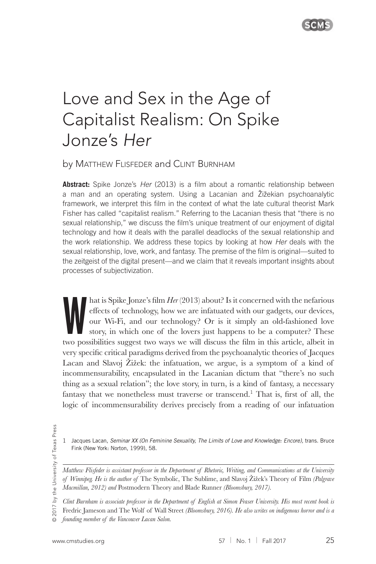

## Love and Sex in the Age of Capitalist Realism: On Spike Jonze's *Her*

by MATTHEW FLISFEDER and CLINT BURNHAM

Abstract: Spike Jonze's *Her* (2013) is a film about a romantic relationship between a man and an operating system. Using a Lacanian and Žižekian psychoanalytic framework, we interpret this film in the context of what the late cultural theorist Mark Fisher has called "capitalist realism." Referring to the Lacanian thesis that "there is no sexual relationship," we discuss the film's unique treatment of our enjoyment of digital technology and how it deals with the parallel deadlocks of the sexual relationship and the work relationship. We address these topics by looking at how *Her* deals with the sexual relationship, love, work, and fantasy. The premise of the film is original—suited to the zeitgeist of the digital present—and we claim that it reveals important insights about processes of subjectivization.

W hat is Spike Jonze's film *Her* (2013) about? Is it concerned with the nefarious effects of technology, how we are infatuated with our gadgets, our devices, our Wi-Fi, and our technology? Or is it simply an old-fashioned love story, in which one of the lovers just happens to be a computer? These two possibilities suggest two ways we will discuss the film in this article, albeit in very specific critical paradigms derived from the psychoanalytic theories of Jacques Lacan and Slavoj Žižek: the infatuation, we argue, is a symptom of a kind of incommensurability, encapsulated in the Lacanian dictum that "there's no such thing as a sexual relation"; the love story, in turn, is a kind of fantasy, a necessary fantasy that we nonetheless must traverse or transcend.<sup>1</sup> That is, first of all, the logic of incommensurability derives precisely from a reading of our infatuation

<sup>1</sup> Jacques Lacan, *Seminar XX (On Feminine Sexuality, The Limits of Love and Knowledge: Encore),* trans. Bruce Fink (New York: Norton, 1999), 58.

we are<br>  $\frac{1}{2}$  and  $\frac{1}{2}$  and  $\frac{1}{2}$  and  $\frac{1}{2}$  and  $\frac{1}{2}$  and  $\frac{1}{2}$  and  $\frac{1}{2}$  Fink (New York: Norton, 1999), 58.<br>  $\frac{1}{2}$  Fink (New York: Norton, 1999), 58.<br>  $\frac{1}{2}$  Matthew Flisfeder is assist *Matthew Flisfeder is assistant professor in the Department of Rhetoric, Writing, and Communications at the University of Winnipeg. He is the author of The Symbolic, The Sublime, and Slavoj Zižek's Theory of Film (Palgrave Macmillan, 2012) and Postmodern Theory and Blade Runner (Bloomsbury, 2017).* 

*Clint Burnham is associate professor in the Department of English at Simon Fraser University. His most recent book is* 

Fredric Jameson and The Wolf of Wall Street (Bloomsbury, 2016). He also writes on indigenous horror and is a

*founding member of the Vancouver Lacan Salon.*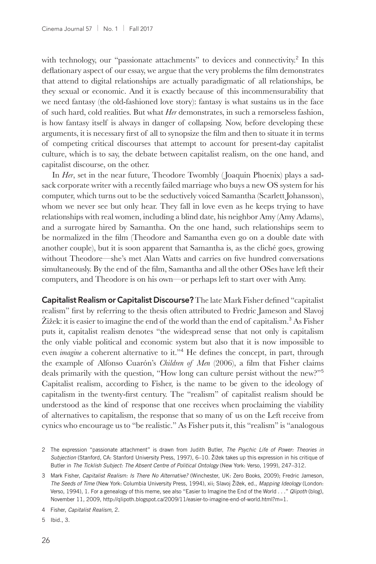with technology, our "passionate attachments" to devices and connectivity.<sup>2</sup> In this deflationary aspect of our essay, we argue that the very problems the film demonstrates that attend to digital relationships are actually paradigmatic of all relationships, be they sexual or economic. And it is exactly because of this incommensurability that we need fantasy (the old-fashioned love story): fantasy is what sustains us in the face of such hard, cold realities. But what *Her* demonstrates, in such a remorseless fashion, is how fantasy itself is always in danger of collapsing. Now, before developing these arguments, it is necessary first of all to synopsize the film and then to situate it in terms of competing critical discourses that attempt to account for present-day capitalist culture, which is to say, the debate between capitalist realism, on the one hand, and capitalist discourse, on the other.

In *Her*, set in the near future, Theodore Twombly (Joaquin Phoenix) plays a sadsack corporate writer with a recently failed marriage who buys a new OS system for his computer, which turns out to be the seductively voiced Samantha (Scarlett Johansson), whom we never see but only hear. They fall in love even as he keeps trying to have relationships with real women, including a blind date, his neighbor Amy (Amy Adams), and a surrogate hired by Samantha. On the one hand, such relationships seem to be normalized in the film (Theodore and Samantha even go on a double date with another couple), but it is soon apparent that Samantha is, as the cliché goes, growing without Theodore—she's met Alan Watts and carries on five hundred conversations simultaneously. By the end of the film, Samantha and all the other OSes have left their computers, and Theodore is on his own—or perhaps left to start over with Amy.

Capitalist Realism or Capitalist Discourse? The late Mark Fisher defined "capitalist realism" first by referring to the thesis often attributed to Fredric Jameson and Slavoj Žižek: it is easier to imagine the end of the world than the end of capitalism.<sup>3</sup> As Fisher puts it, capitalist realism denotes "the widespread sense that not only is capitalism the only viable political and economic system but also that it is now impossible to even *imagine* a coherent alternative to it."<sup>4</sup> He defines the concept, in part, through the example of Alfonso Cuarón's *Children of Men* (2006), a film that Fisher claims deals primarily with the question, "How long can culture persist without the new?"<sup>5</sup> Capitalist realism, according to Fisher, is the name to be given to the ideology of capitalism in the twenty-first century. The "realism" of capitalist realism should be understood as the kind of response that one receives when proclaiming the viability of alternatives to capitalism, the response that so many of us on the Left receive from cynics who encourage us to "be realistic." As Fisher puts it, this "realism" is "analogous"

5 Ibid., 3.

<sup>2</sup> The expression "passionate attachment" is drawn from Judith Butler, *The Psychic Life of Power: Theories in Subjection* (Stanford, CA: Stanford University Press, 1997), 6–10. Žižek takes up this expression in his critique of Butler in *The Ticklish Subject: The Absent Centre of Political Ontology* (New York: Verso, 1999), 247–312.

<sup>3</sup> Mark Fisher, *Capitalist Realism: Is There No Alternative?* (Winchester, UK: Zero Books, 2009); Fredric Jameson, *The Seeds of Time* (New York: Columbia University Press, 1994), xii; Slavoj Žižek, ed., *Mapping Ideology* (London: Verso, 1994), 1. For a genealogy of this meme, see also "Easier to Imagine the End of the World . . ." *Qlipoth* (blog), November 11, 2009, http://qlipoth.blogspot.ca/2009/11/easier-to-imagine-end-of-world.html?m=1.

<sup>4</sup> Fisher, *Capitalist Realism*, 2.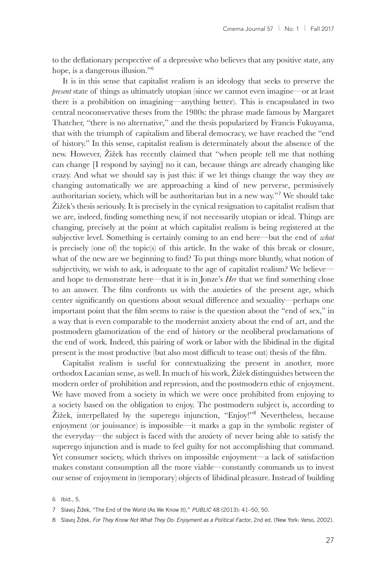to the deflationary perspective of a depressive who believes that any positive state, any hope, is a dangerous illusion."<sup>6</sup>

It is in this sense that capitalist realism is an ideology that seeks to preserve the *present* state of things as ultimately utopian (since we cannot even imagine—or at least there is a prohibition on imagining—anything better). This is encapsulated in two central neoconservative theses from the  $1980s$ : the phrase made famous by Margaret Thatcher, "there is no alternative," and the thesis popularized by Francis Fukuyama, that with the triumph of capitalism and liberal democracy, we have reached the "end of history." In this sense, capitalist realism is determinately about the absence of the new. However, Žižek has recently claimed that "when people tell me that nothing can change [I respond by saying] no it can, because things are already changing like crazy. And what we should say is just this: if we let things change the way they are changing automatically we are approaching a kind of new perverse, permissively authoritarian society, which will be authoritarian but in a new way."<sup>7</sup> We should take  $\ddot{Z}$ ižek's thesis seriously. It is precisely in the cynical resignation to capitalist realism that we are, indeed, finding something new, if not necessarily utopian or ideal. Things are changing, precisely at the point at which capitalist realism is being registered at the subjective level. Something is certainly coming to an end here—but the end of *what* is precisely (one of) the topic(s) of this article. In the wake of this break or closure, what of the new are we beginning to find? To put things more bluntly, what notion of subjectivity, we wish to ask, is adequate to the age of capitalist realism? We believe and hope to demonstrate here—that it is in Jonze's *Her* that we find something close to an answer. The film confronts us with the anxieties of the present age, which center significantly on questions about sexual difference and sexuality—perhaps one important point that the film seems to raise is the question about the "end of sex," in a way that is even comparable to the modernist anxiety about the end of art, and the postmodern glamorization of the end of history or the neoliberal proclamations of the end of work. Indeed, this pairing of work or labor with the libidinal in the digital present is the most productive (but also most difficult to tease out) thesis of the film.

Capitalist realism is useful for contextualizing the present in another, more orthodox Lacanian sense, as well. In much of his work,  $\ddot{Z}$ ižek distinguishes between the modern order of prohibition and repression, and the postmodern ethic of enjoyment. We have moved from a society in which we were once prohibited from enjoying to a society based on the obligation to enjoy. The postmodern subject is, according to Žižek, interpellated by the superego injunction, "Enjoy!"<sup>8</sup> Nevertheless, because enjoyment (or jouissance) is impossible—it marks a gap in the symbolic register of the everyday—the subject is faced with the anxiety of never being able to satisfy the superego injunction and is made to feel guilty for not accomplishing that command. Yet consumer society, which thrives on impossible enjoyment—a lack of satisfaction makes constant consumption all the more viable—constantly commands us to invest our sense of enjoyment in (temporary) objects of libidinal pleasure. Instead of building

<sup>6</sup> Ibid., 5.

<sup>7</sup> Slavoj Žižek, "The End of the World (As We Know It)," *PUBLIC* 48 (2013): 41–50, 50.

<sup>8</sup> Slavoj Žižek, *For They Know Not What They Do: Enjoyment as a Political Factor*, 2nd ed. (New York: Verso, 2002).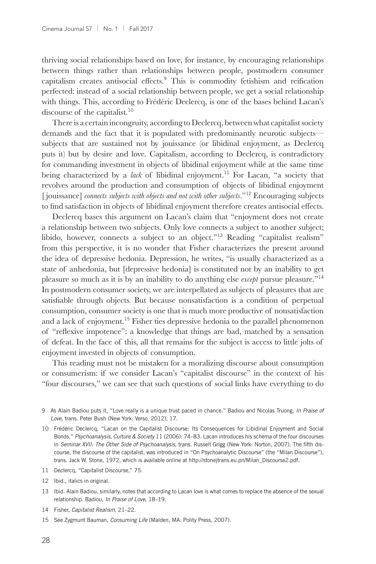thriving social relationships based on love, for instance, by encouraging relationships between things rather than relationships between people, postmodern consumer capitalism creates antisocial effects.<sup>9</sup> This is commodity fetishism and reification perfected: instead of a social relationship between people, we get a social relationship with things. This, according to Frédéric Declercq, is one of the bases behind Lacan's discourse of the capitalist.<sup>10</sup>

There is a certain incongruity, according to Declercq, between what capitalist society demands and the fact that it is populated with predominantly neurotic subjects subjects that are sustained not by jouissance (or libidinal enjoyment, as Declercq puts it) but by desire and love. Capitalism, according to Declercq, is contradictory for commanding investment in objects of libidinal enjoyment while at the same time being characterized by a *lack* of libidinal enjoyment.<sup>11</sup> For Lacan, "a society that revolves around the production and consumption of objects of libidinal enjoyment [jouissance] connects subjects with objects and not with other subjects."<sup>12</sup> Encouraging subjects to find satisfaction in objects of libidinal enjoyment therefore creates antisocial effects.

Declercq bases this argument on Lacan's claim that "enjoyment does not create a relationship between two subjects. Only love connects a subject to another subject; libido, however, connects a subject to an object."<sup>13</sup> Reading "capitalist realism" from this perspective, it is no wonder that Fisher characterizes the present around the idea of depressive hedonia. Depression, he writes, "is usually characterized as a state of anhedonia, but [depressive hedonia] is constituted not by an inability to get pleasure so much as it is by an inability to do anything else *except* pursue pleasure."<sup>14</sup> In postmodern consumer society, we are interpellated as subjects of pleasures that are satisfiable through objects. But because nonsatisfaction is a condition of perpetual consumption, consumer society is one that is much more productive of nonsatisfaction and a lack of enjoyment.<sup>15</sup> Fisher ties depressive hedonia to the parallel phenomenon of "reflexive impotence": a knowledge that things are bad, matched by a sensation of defeat. In the face of this, all that remains for the subject is access to little jolts of enjoyment invested in objects of consumption.

This reading must not be mistaken for a moralizing discourse about consumption or consumerism: if we consider Lacan's "capitalist discourse" in the context of his "four discourses," we can see that such questions of social links have everything to do

10 Frédéric Declercq, "Lacan on the Capitalist Discourse: Its Consequences for Libidinal Enjoyment and Social Bonds," *Psychoanalysis, Culture & Society* 11 (2006): 74–83. Lacan introduces his schema of the four discourses in *Seminar XVII: The Other Side of Psychoanalysis*, trans. Russell Grigg (New York: Norton, 2007). The fifth discourse, the discourse of the capitalist, was introduced in "On Psychoanalytic Discourse" (the "Milan Discourse"), trans. Jack W. Stone, 1972, which is available online at http://stonejtrans.eu.pn/Milan\_Discourse2.pdf.

- 11 Declercq, "Capitalist Discourse," 75.
- 12 Ibid., italics in original.
- 13 Ibid. Alain Badiou, similarly, notes that according to Lacan love is what comes to replace the absence of the sexual relationship. Badiou, *In Praise of Love*, 18–19.
- 14 Fisher, *Capitalist Realism*, 21–22.
- 15 See Zygmunt Bauman, *Consuming Life* (Malden, MA: Polity Press, 2007).

<sup>9</sup> As Alain Badiou puts it, "Love really is a unique trust paced in chance." Badiou and Nicolas Truong, *In Praise of Love*, trans. Peter Bush (New York: Verso, 2012), 17.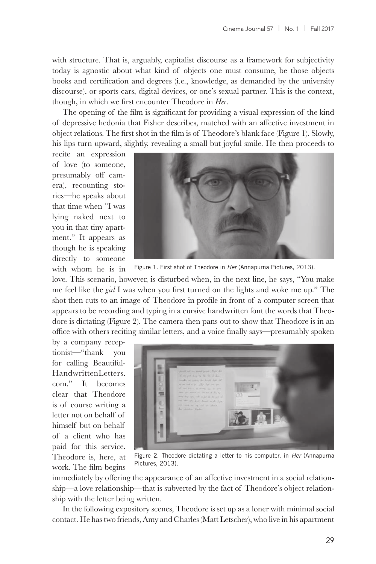with structure. That is, arguably, capitalist discourse as a framework for subjectivity today is agnostic about what kind of objects one must consume, be those objects books and certification and degrees (i.e., knowledge, as demanded by the university discourse), or sports cars, digital devices, or one's sexual partner. This is the context, though, in which we first encounter Theodore in *Her*.

The opening of the film is significant for providing a visual expression of the kind of depressive hedonia that Fisher describes, matched with an affective investment in object relations. The first shot in the film is of Theodore's blank face (Figure 1). Slowly, his lips turn upward, slightly, revealing a small but joyful smile. He then proceeds to

recite an expression of love (to someone, presumably off camera), recounting stories—he speaks about that time when "I was lying naked next to you in that tiny apartment." It appears as though he is speaking directly to someone with whom he is in



Figure 1. First shot of Theodore in *Her* (Annapurna Pictures, 2013).

love. This scenario, however, is disturbed when, in the next line, he says, "You make me feel like the *girl* I was when you first turned on the lights and woke me up." The shot then cuts to an image of Theodore in profile in front of a computer screen that appears to be recording and typing in a cursive handwritten font the words that Theodore is dictating (Figure 2). The camera then pans out to show that Theodore is in an office with others reciting similar letters, and a voice finally says—presumably spoken

by a company receptionist—"thank you for calling Beautiful-HandwrittenLetters. com." It becomes clear that Theodore is of course writing a letter not on behalf of himself but on behalf of a client who has paid for this service. Theodore is, here, at work. The film begins



Figure 2. Theodore dictating a letter to his computer, in *Her* (Annapurna Pictures, 2013).

immediately by offering the appearance of an affective investment in a social relation- $\sinh(-\lambda)$  love relationship—that is subverted by the fact of Theodore's object relation- $\sinh$  with the letter being written.

In the following expository scenes, Theodore is set up as a loner with minimal social contact. He has two friends, Amy and Charles (Matt Letscher), who live in his apartment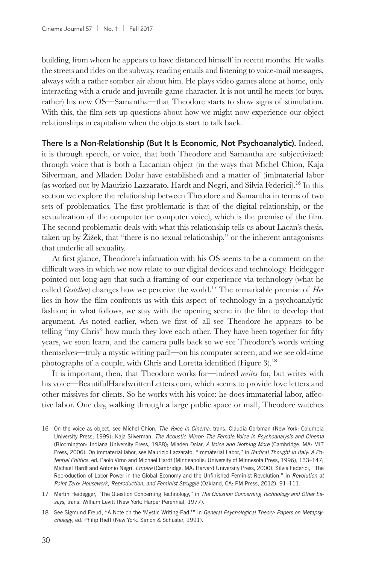building, from whom he appears to have distanced himself in recent months. He walks the streets and rides on the subway, reading emails and listening to voice-mail messages, always with a rather somber air about him. He plays video games alone at home, only interacting with a crude and juvenile game character. It is not until he meets (or buys, rather) his new OS—Samantha—that Theodore starts to show signs of stimulation. With this, the film sets up questions about how we might now experience our object relationships in capitalism when the objects start to talk back.

There Is a Non-Relationship (But It Is Economic, Not Psychoanalytic). Indeed, it is through speech, or voice, that both Theodore and Samantha are subjectivized: through voice that is both a Lacanian object (in the ways that Michel Chion, Kaja Silverman, and Mladen Dolar have established) and a matter of  $\langle\mathrm{im}\rangle$ material labor (as worked out by Maurizio Lazzarato, Hardt and Negri, and Silvia Federici).<sup>16</sup> In this section we explore the relationship between Theodore and Samantha in terms of two sets of problematics. The first problematic is that of the digital relationship, or the  $S$ exualization of the computer (or computer voice), which is the premise of the film. The second problematic deals with what this relationship tells us about Lacan's thesis, taken up by  $\overline{Z}$ ižek, that "there is no sexual relationship," or the inherent antagonisms that underlie all sexuality.

At first glance, Theodore's infatuation with his OS seems to be a comment on the difficult ways in which we now relate to our digital devices and technology. Heidegger pointed out long ago that such a framing of our experience via technology (what he called *Gestellen*) changes how we perceive the world.<sup>17</sup> The remarkable premise of *Her*  $\gamma$  lies in how the film confronts us with this aspect of technology in a psychoanalytic fashion; in what follows, we stay with the opening scene in the film to develop that argument. As noted earlier, when we first of all see Theodore he appears to be telling "my Chris" how much they love each other. They have been together for fifty years, we soon learn, and the camera pulls back so we see Theodore's words writing themselves—truly a mystic writing pad!—on his computer screen, and we see old-time photographs of a couple, with Chris and Loretta identified (Figure 3).<sup>18</sup>

It is important, then, that Theodore works for—indeed *writes* for, but writes with his voice—BeautifulHandwrittenLetters.com, which seems to provide love letters and other missives for clients. So he works with his voice: he does immaterial labor, affective labor. One day, walking through a large public space or mall, Theodore watches

- 16 On the voice as object, see Michel Chion, *The Voice in Cinema*, trans. Claudia Gorbman (New York: Columbia University Press, 1999); Kaja Silverman, *The Acoustic Mirror: The Female Voice in Psychoanalysis and Cinema* (Bloomington: Indiana University Press, 1988); Mladen Dolar, *A Voice and Nothing More* (Cambridge, MA: MIT Press, 2006). On immaterial labor, see Maurizio Lazzarato, "Immaterial Labor," in *Radical Thought in Italy: A Potential Politics*, ed. Paolo Virno and Michael Hardt (Minneapolis: University of Minnesota Press, 1996), 133–147; Michael Hardt and Antonio Negri, *Empire* (Cambridge, MA: Harvard University Press, 2000); Silvia Federici, "The Reproduction of Labor Power in the Global Economy and the Unfinished Feminist Revolution," in *Revolution at Point Zero: Housework, Reproduction, and Feminist Struggle* (Oakland, CA: PM Press, 2012), 91–111.
- 17 Martin Heidegger, "The Question Concerning Technology," in *The Question Concerning Technology and Other Essays*, trans. William Levitt (New York: Harper Perennial, 1977).
- 18 See Sigmund Freud, "A Note on the 'Mystic Writing-Pad,'" in *General Psychological Theory: Papers on Metapsychology*, ed. Philip Rieff (New York: Simon & Schuster, 1991).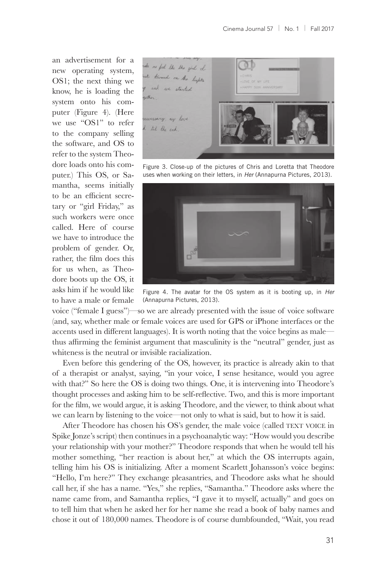an advertisement for a new operating system,  $OS1$ ; the next thing we know, he is loading the system onto his computer (Figure 4). (Here we use "OS1" to refer to the company selling the software, and  $OS$  to refer to the system Theodore loads onto his computer.) This OS, or Samantha, seems initially to be an efficient secretary or "girl Friday," as such workers were once called. Here of course we have to introduce the problem of gender. Or, rather, the film does this for us when, as Theodore boots up the  $OS$ , it asks him if he would like to have a male or female



Figure 3. Close-up of the pictures of Chris and Loretta that Theodore uses when working on their letters, in *Her* (Annapurna Pictures, 2013).



Figure 4. The avatar for the OS system as it is booting up, in *Her* (Annapurna Pictures, 2013).

voice ("female I guess")—so we are already presented with the issue of voice software (and, say, whether male or female voices are used for GPS or iPhone interfaces or the accents used in different languages). It is worth noting that the voice begins as male thus affirming the feminist argument that masculinity is the "neutral" gender, just as whiteness is the neutral or invisible racialization.

Even before this gendering of the OS, however, its practice is already akin to that of a therapist or analyst, saying, "in your voice, I sense hesitance, would you agree with that?" So here the  $\overline{OS}$  is doing two things. One, it is intervening into Theodore's thought processes and asking him to be self-reflective. Two, and this is more important for the film, we would argue, it is asking Theodore, and the viewer, to think about what we can learn by listening to the voice—not only to what is said, but to how it is said.

After Theodore has chosen his OS's gender, the male voice (called TEXT VOICE in Spike Jonze's script) then continues in a psychoanalytic way: "How would you describe your relationship with your mother?" Theodore responds that when he would tell his mother something, "her reaction is about her," at which the OS interrupts again, telling him his OS is initializing. After a moment Scarlett Johansson's voice begins: "Hello, I'm here?" They exchange pleasantries, and Theodore asks what he should call her, if she has a name. "Yes," she replies, "Samantha." Theodore asks where the name came from, and Samantha replies, "I gave it to myself, actually" and goes on to tell him that when he asked her for her name she read a book of baby names and chose it out of 180,000 names. Theodore is of course dumbfounded, "Wait, you read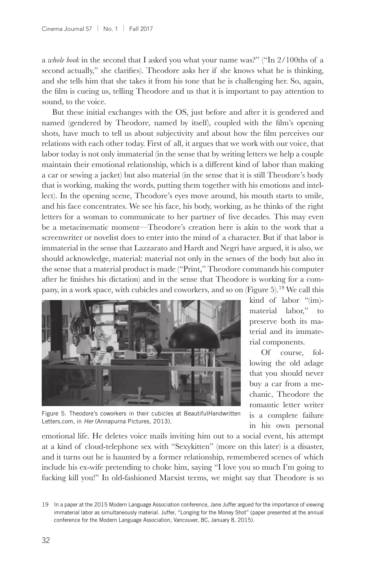a *whole book* in the second that I asked you what your name was?" ("In  $2/100$ ths of a second actually," she clarifies). Theodore asks her if she knows what he is thinking, and she tells him that she takes it from his tone that he is challenging her. So, again, the film is cueing us, telling Theodore and us that it is important to pay attention to sound, to the voice.

But these initial exchanges with the OS, just before and after it is gendered and named (gendered by Theodore, named by itself), coupled with the film's opening shots, have much to tell us about subjectivity and about how the film perceives our relations with each other today. First of all, it argues that we work with our voice, that  $I$ abor today is not only immaterial (in the sense that by writing letters we help a couple maintain their emotional relationship, which is a different kind of labor than making a car or sewing a jacket) but also material (in the sense that it is still Theodore's body that is working, making the words, putting them together with his emotions and intellect). In the opening scene, Theodore's eyes move around, his mouth starts to smile, and his face concentrates. We see his face, his body, working, as he thinks of the right letters for a woman to communicate to her partner of five decades. This may even be a metacinematic moment—Theodore's creation here is akin to the work that a screenwriter or novelist does to enter into the mind of a character. But if that labor is immaterial in the sense that Lazzarato and Hardt and Negri have argued, it is also, we should acknowledge, material: material not only in the senses of the body but also in the sense that a material product is made ("Print," Theodore commands his computer after he finishes his dictation) and in the sense that Theodore is working for a company, in a work space, with cubicles and coworkers, and so on (Figure 5).<sup>19</sup> We call this



kind of labor "(im)material labor." to preserve both its material and its immaterial components.

Of course, following the old adage that you should never buy a car from a mechanic, Theodore the romantic letter writer is a complete failure in his own personal

Figure 5. Theodore's coworkers in their cubicles at BeautifulHandwritten Letters.com, in *Her* (Annapurna Pictures, 2013).

emotional life. He deletes voice mails inviting him out to a social event, his attempt at a kind of cloud-telephone sex with "Sexykitten" (more on this later) is a disaster, and it turns out he is haunted by a former relationship, remembered scenes of which include his ex-wife pretending to choke him, saying "I love you so much I'm going to fucking kill you!" In old-fashioned Marxist terms, we might say that Theodore is so

<sup>19</sup> In a paper at the 2015 Modern Language Association conference, Jane Juffer argued for the importance of viewing immaterial labor as simultaneously material. Juffer, "Longing for the Money Shot" (paper presented at the annual conference for the Modern Language Association, Vancouver, BC, January 8, 2015).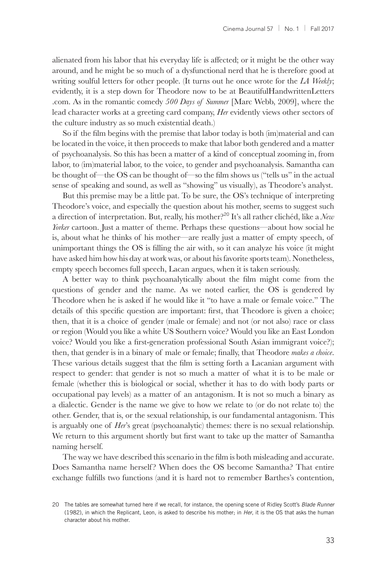alienated from his labor that his everyday life is affected; or it might be the other way around, and he might be so much of a dysfunctional nerd that he is therefore good at writing soulful letters for other people. (It turns out he once wrote for the  $IA$  Weekly; evidently, it is a step down for Theodore now to be at BeautifulHandwrittenLetters kom. As in the romantic comedy 500 Days of Summer [Marc Webb, 2009], where the lead character works at a greeting card company, *Her* evidently views other sectors of the culture industry as so much existential death.)

So if the film begins with the premise that labor today is both (im)material and can be located in the voice, it then proceeds to make that labor both gendered and a matter of psychoanalysis. So this has been a matter of a kind of conceptual zooming in, from labor, to (im)material labor, to the voice, to gender and psychoanalysis. Samantha can be thought of—the OS can be thought of—so the film shows us ("tells us" in the actual sense of speaking and sound, as well as "showing" us visually), as Theodore's analyst.

But this premise may be a little pat. To be sure, the  $OS$ 's technique of interpreting Theodore's voice, and especially the question about his mother, seems to suggest such a direction of interpretation. But, really, his mother?<sup>20</sup> It's all rather clichéd, like a *New Yorker* cartoon. Just a matter of theme. Perhaps these questions—about how social he is, about what he thinks of his mother—are really just a matter of empty speech, of unimportant things the  $\overline{OS}$  is filling the air with, so it can analyze his voice (it might have asked him how his day at work was, or about his favorite sports team). Nonetheless, empty speech becomes full speech, Lacan argues, when it is taken seriously.

A better way to think psychoanalytically about the film might come from the questions of gender and the name. As we noted earlier, the  $\overline{OS}$  is gendered by Theodore when he is asked if he would like it "to have a male or female voice." The details of this specific question are important: first, that Theodore is given a choice; then, that it is a choice of gender (male or female) and not (or not also) race or class or region (Would you like a white US Southern voice? Would you like an East London voice? Would you like a first-generation professional South Asian immigrant voice?); then, that gender is in a binary of male or female; finally, that Theodore makes a choice. These various details suggest that the film is setting forth a Lacanian argument with respect to gender: that gender is not so much a matter of what it is to be male or female (whether this is biological or social, whether it has to do with body parts or  $\alpha$  occupational pay levels) as a matter of an antagonism. It is not so much a binary as a dialectic. Gender is the name we give to how we relate to (or do not relate to) the other. Gender, that is, or the sexual relationship, is our fundamental antagonism. This is arguably one of *Her*'s great (psychoanalytic) themes: there is no sexual relationship. We return to this argument shortly but first want to take up the matter of Samantha naming herself.

The way we have described this scenario in the film is both misleading and accurate. Does Samantha name herself? When does the OS become Samantha? That entire exchange fulfills two functions (and it is hard not to remember Barthes's contention,

<sup>20</sup> The tables are somewhat turned here if we recall, for instance, the opening scene of Ridley Scott's *Blade Runner* (1982), in which the Replicant, Leon, is asked to describe his mother; in *Her*, it is the OS that asks the human character about his mother.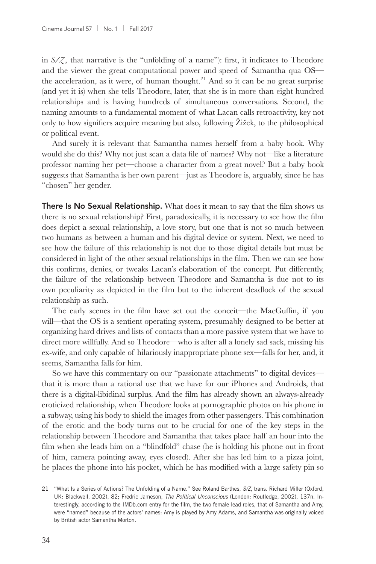in  $S/\mathcal{Z}_\lambda$ , that narrative is the "unfolding of a name"): first, it indicates to Theodore and the viewer the great computational power and speed of Samantha qua  $OS$ the acceleration, as it were, of human thought.<sup>21</sup> And so it can be no great surprise (and yet it is) when she tells Theodore, later, that she is in more than eight hundred relationships and is having hundreds of simultaneous conversations. Second, the naming amounts to a fundamental moment of what Lacan calls retroactivity, key not only to how signifiers acquire meaning but also, following  $\check{Z}$ ižek, to the philosophical or political event.

And surely it is relevant that Samantha names herself from a baby book. Why would she do this? Why not just scan a data file of names? Why not—like a literature professor naming her pet—choose a character from a great novel? But a baby book suggests that Samantha is her own parent—just as Theodore is, arguably, since he has "chosen" her gender.

**There Is No Sexual Relationship.** What does it mean to say that the film shows us there is no sexual relationship? First, paradoxically, it is necessary to see how the film does depict a sexual relationship, a love story, but one that is not so much between two humans as between a human and his digital device or system. Next, we need to see how the failure of this relationship is not due to those digital details but must be considered in light of the other sexual relationships in the film. Then we can see how this confirms, denies, or tweaks Lacan's elaboration of the concept. Put differently, the failure of the relationship between Theodore and Samantha is due not to its own peculiarity as depicted in the film but to the inherent deadlock of the sexual relationship as such.

The early scenes in the film have set out the conceit—the MacGuffin, if you will—that the OS is a sentient operating system, presumably designed to be better at organizing hard drives and lists of contacts than a more passive system that we have to direct more willfully. And so Theodore—who is after all a lonely sad sack, missing his ex-wife, and only capable of hilariously inappropriate phone sex—falls for her, and, it seems, Samantha falls for him.

So we have this commentary on our "passionate attachments" to digital devices that it is more than a rational use that we have for our iPhones and Androids, that there is a digital-libidinal surplus. And the film has already shown an always-already eroticized relationship, when Theodore looks at pornographic photos on his phone in a subway, using his body to shield the images from other passengers. This combination of the erotic and the body turns out to be crucial for one of the key steps in the relationship between Theodore and Samantha that takes place half an hour into the film when she leads him on a "blindfold" chase (he is holding his phone out in front of him, camera pointing away, eyes closed). After she has led him to a pizza joint, he places the phone into his pocket, which he has modified with a large safety pin so

<sup>21</sup> "What Is a Series of Actions? The Unfolding of a Name." See Roland Barthes, *S/Z*, trans. Richard Miller (Oxford, UK: Blackwell, 2002), 82; Fredric Jameson, *The Political Unconscious* (London: Routledge, 2002), 137n. Interestingly, according to the IMDb.com entry for the film, the two female lead roles, that of Samantha and Amy, were "named" because of the actors' names: Amy is played by Amy Adams, and Samantha was originally voiced by British actor Samantha Morton.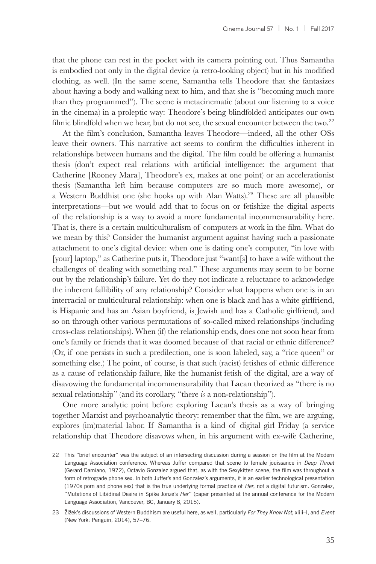that the phone can rest in the pocket with its camera pointing out. Thus Samantha is embodied not only in the digital device (a retro-looking object) but in his modified clothing, as well. (In the same scene, Samantha tells Theodore that she fantasizes about having a body and walking next to him, and that she is "becoming much more than they programmed"). The scene is metacinematic (about our listening to a voice in the cinema) in a proleptic way: Theodore's being blindfolded anticipates our own filmic blindfold when we hear, but do not see, the sexual encounter between the two.<sup>22</sup>

At the film's conclusion, Samantha leaves Theodore—indeed, all the other OSs leave their owners. This narrative act seems to confirm the difficulties inherent in relationships between humans and the digital. The film could be offering a humanist thesis  $\Delta$  don't expect real relations with artificial intelligence: the argument that Catherine [Rooney Mara], Theodore's ex, makes at one point) or an accelerationist thesis (Samantha left him because computers are so much more awesome), or a Western Buddhist one (she hooks up with Alan Watts).<sup>23</sup> These are all plausible interpretations—but we would add that to focus on or fetishize the digital aspects of the relationship is a way to avoid a more fundamental incommensurability here. That is, there is a certain multiculturalism of computers at work in the film. What do we mean by this? Consider the humanist argument against having such a passionate attachment to one's digital device: when one is dating one's computer, "in love with [your] laptop," as Catherine puts it, Theodore just "want[s] to have a wife without the challenges of dealing with something real." These arguments may seem to be borne out by the relationship's failure. Yet do they not indicate a reluctance to acknowledge the inherent fallibility of any relationship? Consider what happens when one is in an interracial or multicultural relationship: when one is black and has a white girlfriend, is Hispanic and has an Asian boyfriend, is Jewish and has a Catholic girlfriend, and so on through other various permutations of so-called mixed relationships (including cross-class relationships). When (if) the relationship ends, does one not soon hear from one's family or friends that it was doomed because of that racial or ethnic difference? (Or, if one persists in such a predilection, one is soon labeled, say, a "rice queen" or something else.) The point, of course, is that such (racist) fetishes of ethnic difference as a cause of relationship failure, like the humanist fetish of the digital, are a way of disayowing the fundamental incommensurability that Lacan theorized as "there is no sexual relationship" (and its corollary, "there is a non-relationship").

One more analytic point before exploring Lacan's thesis as a way of bringing together Marxist and psychoanalytic theory: remember that the film, we are arguing, explores (im)material labor. If Samantha is a kind of digital girl Friday (a service relationship that Theodore disavows when, in his argument with ex-wife Catherine,

<sup>22</sup> This "brief encounter" was the subject of an intersecting discussion during a session on the film at the Modern Language Association conference. Whereas Juffer compared that scene to female jouissance in *Deep Throat* (Gerard Damiano, 1972), Octavio Gonzalez argued that, as with the Sexykitten scene, the film was throughout a form of retrograde phone sex. In both Juffer's and Gonzalez's arguments, it is an earlier technological presentation (1970s porn and phone sex) that is the true underlying formal practice of *Her*, not a digital futurism. Gonzalez, "Mutations of Libidinal Desire in Spike Jonze's *Her*" (paper presented at the annual conference for the Modern Language Association, Vancouver, BC, January 8, 2015).

<sup>23</sup> Žižek's discussions of Western Buddhism are useful here, as well, particularly *For They Know Not*, xliii–l, and *Event* (New York: Penguin, 2014), 57–76.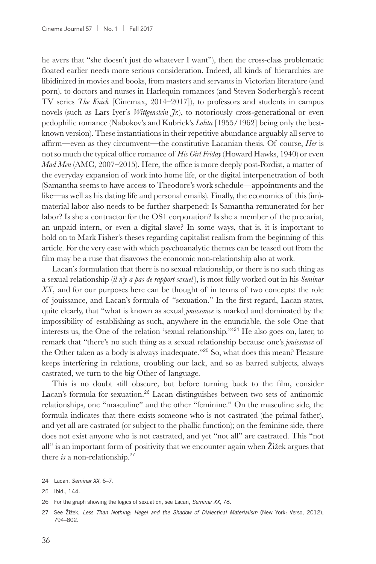he avers that "she doesn't just do whatever I want"), then the cross-class problematic floated earlier needs more serious consideration. Indeed, all kinds of hierarchies are Ibidinized in movies and books, from masters and servants in Victorian literature (and porn), to doctors and nurses in Harlequin romances (and Steven Soderbergh's recent TV series *The Knick* [Cinemax, 2014–2017]), to professors and students in campus novels (such as Lars Iyer's *Wittgenstein*  $\tilde{\tau}$ *r.*), to notoriously cross-generational or even pedophilic romance (Nabokov's and Kubrick's *Lolita* [1955/1962] being only the bestknown version). These instantiations in their repetitive abundance arguably all serve to affirm—even as they circumvent—the constitutive Lacanian thesis. Of course, *Her* is not so much the typical office romance of *His Girl Friday* (Howard Hawks, 1940) or even  $Mad Men$  (AMC, 2007–2015). Here, the office is more deeply post-Fordist, a matter of the everyday expansion of work into home life, or the digital interpenetration of both (Samantha seems to have access to Theodore's work schedule—appointments and the like—as well as his dating life and personal emails). Finally, the economics of this  $(im)$ material labor also needs to be further sharpened: Is Samantha remunerated for her labor? Is she a contractor for the OS1 corporation? Is she a member of the precariat, an unpaid intern, or even a digital slave? In some ways, that is, it is important to hold on to Mark Fisher's theses regarding capitalist realism from the beginning of this article. For the very ease with which psychoanalytic themes can be teased out from the film may be a ruse that disavows the economic non-relationship also at work.

Lacan's formulation that there is no sexual relationship, or there is no such thing as a sexual relationship (il n'y a pas de rapport sexuel), is most fully worked out in his *Seminar* XX, and for our purposes here can be thought of in terms of two concepts: the role of jouissance, and Lacan's formula of "sexuation." In the first regard, Lacan states, quite clearly, that "what is known as sexual *jouissance* is marked and dominated by the impossibility of establishing as such, anywhere in the enunciable, the sole One that interests us, the One of the relation 'sexual relationship."<sup>24</sup> He also goes on, later, to remark that "there's no such thing as a sexual relationship because one's *jouissance* of the Other taken as a body is always inadequate."<sup>25</sup> So, what does this mean? Pleasure keeps interfering in relations, troubling our lack, and so as barred subjects, always castrated, we turn to the big Other of language.

This is no doubt still obscure, but before turning back to the film, consider Lacan's formula for sexuation.<sup>26</sup> Lacan distinguishes between two sets of antinomic relationships, one "masculine" and the other "feminine." On the masculine side, the formula indicates that there exists someone who is not castrated (the primal father), and yet all are castrated (or subject to the phallic function); on the feminine side, there does not exist anyone who is not castrated, and yet "not all" are castrated. This "not all" is an important form of positivity that we encounter again when  $\tilde{Z}$ ižek argues that there is a non-relationship.<sup>27</sup>

<sup>24</sup> Lacan, *Seminar XX*, 6–7.

<sup>25</sup> Ibid., 144.

<sup>26</sup> For the graph showing the logics of sexuation, see Lacan, *Seminar XX*, 78.

<sup>27</sup> See Žižek, *Less Than Nothing: Hegel and the Shadow of Dialectical Materialism* (New York: Verso, 2012), 794–802.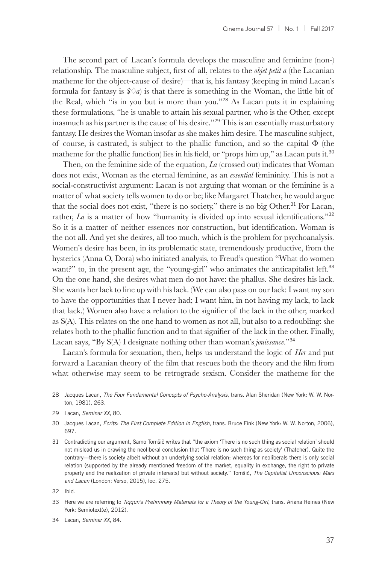The second part of Lacan's formula develops the masculine and feminine (non-) relationship. The masculine subject, first of all, relates to the *objet petit a* (the Lacanian matheme for the object-cause of desire)—that is, his fantasy (keeping in mind Lacan's formula for fantasy is  $\oint(x)$  is that there is something in the Woman, the little bit of the Real, which "is in you but is more than you."<sup>28</sup> As Lacan puts it in explaining these formulations, "he is unable to attain his sexual partner, who is the Other, except inasmuch as his partner is the cause of his desire."<sup>29</sup> This is an essentially masturbatory fantasy. He desires the Woman insofar as she makes him desire. The masculine subject, of course, is castrated, is subject to the phallic function, and so the capital  $\Phi$  (the matheme for the phallic function) lies in his field, or "props him up," as Lacan puts it.<sup>30</sup>

Then, on the feminine side of the equation, *La* (crossed out) indicates that Woman does not exist, Woman as the eternal feminine, as an *essential* femininity. This is not a social-constructivist argument: Lacan is not arguing that woman or the feminine is a matter of what society tells women to do or be; like Margaret Thatcher, he would argue that the social does not exist, "there is no society," there is no big Other.<sup>31</sup> For Lacan, rather, La is a matter of how "humanity is divided up into sexual identifications."<sup>32</sup> So it is a matter of neither essences nor construction, but identification. Woman is the not all. And yet she desires, all too much, which is the problem for psychoanalysis. Women's desire has been, in its problematic state, tremendously productive, from the hysterics (Anna O, Dora) who initiated analysis, to Freud's question "What do women want?" to, in the present age, the "young-girl" who animates the anticapitalist left. $33$ On the one hand, she desires what men do not have: the phallus. She desires his lack. She wants her lack to line up with his lack. (We can also pass on our lack: I want my son to have the opportunities that I never had; I want him, in not having my lack, to lack that lack.) Women also have a relation to the signifier of the lack in the other, marked as  $S(A)$ . This relates on the one hand to women as not all, but also to a redoubling: she relates both to the phallic function and to that signifier of the lack in the other. Finally, Lacan says, "By  $S(A)$  I designate nothing other than woman's *jouissance*."<sup>34</sup>

Lacan's formula for sexuation, then, helps us understand the logic of *Her* and put forward a Lacanian theory of the film that rescues both the theory and the film from what otherwise may seem to be retrograde sexism. Consider the matheme for the

- 28 Jacques Lacan, *The Four Fundamental Concepts of Psycho-Analysis*, trans. Alan Sheridan (New York: W. W. Norton, 1981), 263.
- 29 Lacan, *Seminar XX*, 80.
- 30 Jacques Lacan, *Écrits: The First Complete Edition in English*, trans. Bruce Fink (New York: W. W. Norton, 2006), 697.
- 31 Contradicting our argument, Samo Tomšič writes that "the axiom 'There is no such thing as social relation' should not mislead us in drawing the neoliberal conclusion that 'There is no such thing as society' (Thatcher). Quite the contrary—there is society albeit without an underlying social relation; whereas for neoliberals there is only social relation (supported by the already mentioned freedom of the market, equality in exchange, the right to private property and the realization of private interests) but without society." Tomšič, The Capitalist Unconscious: Marx *and Lacan* (London: Verso, 2015), loc. 275.
- 32 Ibid.
- 33 Here we are referring to *Tiqqun*'s *Preliminary Materials for a Theory of the Young-Girl*, trans. Ariana Reines (New York: Semiotext(e), 2012).
- 34 Lacan, *Seminar XX*, 84.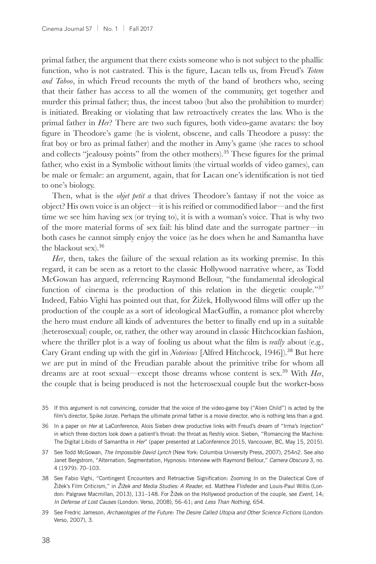primal father, the argument that there exists someone who is not subject to the phallic function, who is not castrated. This is the figure, Lacan tells us, from Freud's *Totem and Taboo*, in which Freud recounts the myth of the band of brothers who, seeing that their father has access to all the women of the community, get together and murder this primal father; thus, the incest taboo (but also the prohibition to murder) is initiated. Breaking or violating that law retroactively creates the law. Who is the primal father in *Her*? There are two such figures, both video-game avatars: the boy figure in Theodore's game (he is violent, obscene, and calls Theodore a pussy: the frat boy or bro as primal father) and the mother in Amy's game (she races to school and collects "jealousy points" from the other mothers).<sup>35</sup> These figures for the primal father, who exist in a Symbolic without limits (the virtual worlds of video games), can be male or female: an argument, again, that for Lacan one's identification is not tied to one's biology.

Then, what is the *objet petit a* that drives Theodore's fantasy if not the voice as object? His own voice is an object—it is his reified or commodified labor—and the first time we see him having sex (or trying to), it is with a woman's voice. That is why two of the more material forms of sex fail: his blind date and the surrogate partner—in both cases he cannot simply enjoy the voice (as he does when he and Samantha have the blackout sex).  $36$ 

*Her*, then, takes the failure of the sexual relation as its working premise. In this regard, it can be seen as a retort to the classic Hollywood narrative where, as Todd McGowan has argued, referencing Raymond Bellour, "the fundamental ideological function of cinema is the production of this relation in the diegetic couple.<sup>337</sup> Indeed, Fabio Vighi has pointed out that, for Zižek, Hollywood films will offer up the production of the couple as a sort of ideological MacGuffin, a romance plot whereby the hero must endure all kinds of adventures the better to finally end up in a suitable (heterosexual) couple, or, rather, the other way around in classic Hitchcockian fashion, where the thriller plot is a way of fooling us about what the film is *really* about (e.g., Cary Grant ending up with the girl in *Notorious* [Alfred Hitchcock, 1946]).<sup>38</sup> But here we are put in mind of the Freudian parable about the primitive tribe for whom all dreams are at root sexual—except those dreams whose content is sex.<sup>39</sup> With *Her*, the couple that is being produced is not the heterosexual couple but the worker-boss

- 37 See Todd McGowan, *The Impossible David Lynch* (New York: Columbia University Press, 2007), 254n2. See also Janet Bergstrom, "Alternation, Segmentation, Hypnosis: Interview with Raymond Bellour," *Camera Obscura* 3, no. 4 (1979): 70–103.
- 38 See Fabio Vighi, "Contingent Encounters and Retroactive Signification: Zooming In on the Dialectical Core of Žižek's Film Criticism," in Ž*i*ž*ek and Media Studies: A Reader*, ed. Matthew Flisfeder and Louis-Paul Willis (London: Palgrave Macmillan, 2013), 131–148. For Žižek on the Hollywood production of the couple, see *Event*, 14; *In Defense of Lost Causes* (London: Verso, 2008), 56–61; and *Less Than Nothing*, 654.
- 39 See Fredric Jameson, *Archaeologies of the Future: The Desire Called Utopia and Other Science Fictions* (London: Verso, 2007), 3.

<sup>35</sup> If this argument is not convincing, consider that the voice of the video-game boy ("Alien Child") is acted by the film's director, Spike Jonze. Perhaps the ultimate primal father is a movie director, who is nothing less than a god.

<sup>36</sup> In a paper on *Her* at LaConference, Alois Sieben drew productive links with Freud's dream of "Irma's Injection" in which three doctors look down a patient's throat: the throat as fleshly voice. Sieben, "Romancing the Machine: The Digital Libido of Samantha in *Her*" (paper presented at LaConference 2015, Vancouver, BC, May 15, 2015).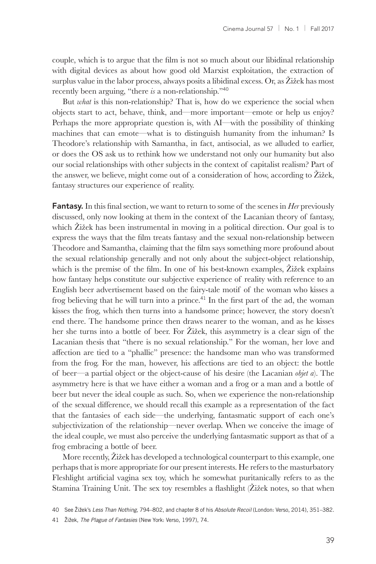couple, which is to argue that the film is not so much about our libidinal relationship with digital devices as about how good old Marxist exploitation, the extraction of surplus value in the labor process, always posits a libidinal excess. Or, as  $\check{Z}$ ižek has most recently been arguing, "there is a non-relationship."<sup>40</sup>

But what is this non-relationship? That is, how do we experience the social when objects start to act, behave, think, and—more important—emote or help us enjoy? Perhaps the more appropriate question is, with AI—with the possibility of thinking machines that can emote—what is to distinguish humanity from the inhuman? Is Theodore's relationship with Samantha, in fact, antisocial, as we alluded to earlier, or does the  $OS$  ask us to rethink how we understand not only our humanity but also our social relationships with other subjects in the context of capitalist realism? Part of the answer, we believe, might come out of a consideration of how, according to Zižek, fantasy structures our experience of reality.

**Fantasy.** In this final section, we want to return to some of the scenes in *Her* previously discussed, only now looking at them in the context of the Lacanian theory of fantasy, which  $\ddot{Z}$ ižek has been instrumental in moving in a political direction. Our goal is to express the ways that the film treats fantasy and the sexual non-relationship between Theodore and Samantha, claiming that the film says something more profound about the sexual relationship generally and not only about the subject-object relationship, which is the premise of the film. In one of his best-known examples,  $\check{Z}$ ižek explains how fantasy helps constitute our subjective experience of reality with reference to an English beer advertisement based on the fairy-tale motif of the woman who kisses a frog believing that he will turn into a prince.<sup>41</sup> In the first part of the ad, the woman kisses the frog, which then turns into a handsome prince; however, the story doesn't end there. The handsome prince then draws nearer to the woman, and as he kisses her she turns into a bottle of beer. For  $\check{Z}$ ižek, this asymmetry is a clear sign of the Lacanian thesis that "there is no sexual relationship." For the woman, her love and affection are tied to a "phallic" presence: the handsome man who was transformed from the frog. For the man, however, his affections are tied to an object: the bottle of beer—a partial object or the object-cause of his desire (the Lacanian *objet a*). The asymmetry here is that we have either a woman and a frog or a man and a bottle of beer but never the ideal couple as such. So, when we experience the non-relationship of the sexual difference, we should recall this example as a representation of the fact that the fantasies of each side—the underlying, fantasmatic support of each one's subjectivization of the relationship—never overlap. When we conceive the image of the ideal couple, we must also perceive the underlying fantasmatic support as that of a frog embracing a bottle of beer.

More recently, Žižek has developed a technological counterpart to this example, one perhaps that is more appropriate for our present interests. He refers to the masturbatory Fleshlight artificial vagina sex toy, which he somewhat puritanically refers to as the Stamina Training Unit. The sex toy resembles a flashlight (Zižek notes, so that when

<sup>40</sup> See Žižek's *Less Than Nothing*, 794–802, and chapter 8 of his *Absolute Recoil* (London: Verso, 2014), 351–382.

<sup>41</sup> Žižek, *The Plague of Fantasies* (New York: Verso, 1997), 74.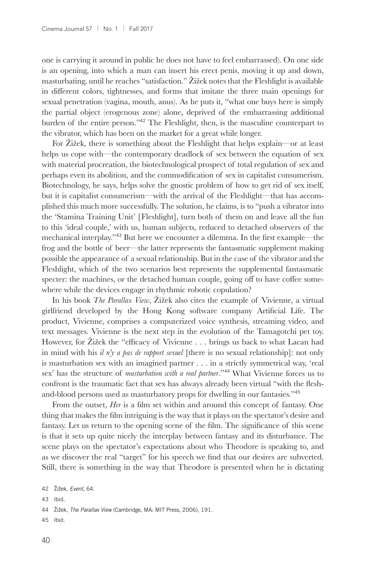one is carrying it around in public he does not have to feel embarrassed). On one side is an opening, into which a man can insert his erect penis, moving it up and down, masturbating, until he reaches "satisfaction."  $\check{Z}$ ižek notes that the Fleshlight is available in different colors, tightnesses, and forms that imitate the three main openings for sexual penetration (vagina, mouth, anus). As he puts it, "what one buys here is simply the partial object (erogenous zone) alone, deprived of the embarrassing additional burden of the entire person."<sup>42</sup> The Fleshlight, then, is the masculine counterpart to the vibrator, which has been on the market for a great while longer.

For  $\ddot{Z}$ ižek, there is something about the Fleshlight that helps explain—or at least helps us cope with—the contemporary deadlock of sex between the equation of sex with material procreation, the biotechnological prospect of total regulation of sex and perhaps even its abolition, and the commodification of sex in capitalist consumerism. Biotechnology, he says, helps solve the gnostic problem of how to get rid of sex itself, but it is capitalist consumerism—with the arrival of the Fleshlight—that has accomplished this much more successfully. The solution, he claims, is to "push a vibrator into the 'Stamina Training Unit' [Fleshlight], turn both of them on and leave all the fun to this 'ideal couple,' with us, human subjects, reduced to detached observers of the mechanical interplay."<sup>43</sup> But here we encounter a dilemma. In the first example—the frog and the bottle of beer—the latter represents the fantasmatic supplement making possible the appearance of a sexual relationship. But in the case of the vibrator and the Fleshlight, which of the two scenarios best represents the supplemental fantasmatic specter: the machines, or the detached human couple, going off to have coffee somewhere while the devices engage in rhythmic robotic copulation?

In his book The Parallax View, Žižek also cites the example of Vivienne, a virtual girlfriend developed by the Hong Kong software company Artificial Life. The product, Vivienne, comprises a computerized voice synthesis, streaming video, and text messages. Vivienne is the next step in the evolution of the Tamagotchi pet toy. However, for Žižek the "efficacy of Vivienne . . . brings us back to what Lacan had in mind with his *il n'y a pas de rapport sexuel* [there is no sexual relationship]: not only is masturbation sex with an imagined partner  $\ldots$  in a strictly symmetrical way, 'real sex' has the structure of *masturbation with a real partner*."<sup>44</sup> What Vivienne forces us to confront is the traumatic fact that sex has always already been virtual "with the fleshand-blood persons used as masturbatory props for dwelling in our fantasies."<sup>45</sup>

From the outset, Her is a film set within and around this concept of fantasy. One thing that makes the film intriguing is the way that it plays on the spectator's desire and fantasy. Let us return to the opening scene of the film. The significance of this scene is that it sets up quite nicely the interplay between fantasy and its disturbance. The scene plays on the spectator's expectations about who Theodore is speaking to, and as we discover the real "target" for his speech we find that our desires are subverted. Still, there is something in the way that Theodore is presented when he is dictating

43 Ibid.

45 Ibid.

<sup>42</sup> Žižek, *Event*, 64.

<sup>44</sup> Žižek, *The Parallax View* (Cambridge, MA: MIT Press, 2006), 191.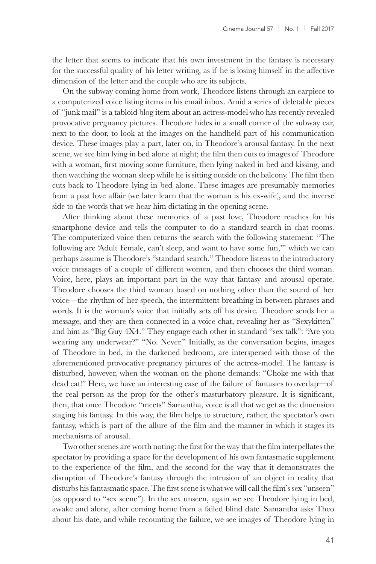the letter that seems to indicate that his own investment in the fantasy is necessary for the successful quality of his letter writing, as if he is losing himself in the affective dimension of the letter and the couple who are its subjects.

On the subway coming home from work, Theodore listens through an earpiece to a computerized voice listing items in his email inbox. Amid a series of deletable pieces of "junk mail" is a tabloid blog item about an actress-model who has recently revealed provocative pregnancy pictures. Theodore hides in a small corner of the subway car, next to the door, to look at the images on the handheld part of his communication device. These images play a part, later on, in Theodore's arousal fantasy. In the next scene, we see him lying in bed alone at night; the film then cuts to images of Theodore with a woman, first moving some furniture, then lying naked in bed and kissing, and then watching the woman sleep while he is sitting outside on the balcony. The film then cuts back to Theodore lying in bed alone. These images are presumably memories from a past love affair (we later learn that the woman is his ex-wife), and the inverse side to the words that we hear him dictating in the opening scene.

After thinking about these memories of a past love, Theodore reaches for his smartphone device and tells the computer to do a standard search in chat rooms. The computerized voice then returns the search with the following statement: "The following are 'Adult Female, can't sleep, and want to have some fun," which we can perhaps assume is Theodore's "standard search." Theodore listens to the introductory voice messages of a couple of different women, and then chooses the third woman. Voice, here, plays an important part in the way that fantasy and arousal operate. Theodore chooses the third woman based on nothing other than the sound of her voice—the rhythm of her speech, the intermittent breathing in between phrases and words. It is the woman's voice that initially sets off his desire. Theodore sends her a message, and they are then connected in a voice chat, revealing her as "Sexykitten" and him as "Big Guy  $4X4$ ." They engage each other in standard "sex talk": "Are you wearing any underwear?" "No. Never." Initially, as the conversation begins, images of Theodore in bed, in the darkened bedroom, are interspersed with those of the aforementioned provocative pregnancy pictures of the actress-model. The fantasy is disturbed, however, when the woman on the phone demands: "Choke me with that dead cat!" Here, we have an interesting case of the failure of fantasies to overlap—of the real person as the prop for the other's masturbatory pleasure. It is significant, then, that once Theodore "meets" Samantha, voice is all that we get as the dimension staging his fantasy. In this way, the film helps to structure, rather, the spectator's own fantasy, which is part of the allure of the film and the manner in which it stages its mechanisms of arousal.

Two other scenes are worth noting: the first for the way that the film interpellates the spectator by providing a space for the development of his own fantasmatic supplement to the experience of the film, and the second for the way that it demonstrates the disruption of Theodore's fantasy through the intrusion of an object in reality that disturbs his fantasmatic space. The first scene is what we will call the film's sex "unseen" (as opposed to "sex scene"). In the sex unseen, again we see Theodore lying in bed, awake and alone, after coming home from a failed blind date. Samantha asks Theo about his date, and while recounting the failure, we see images of Theodore lying in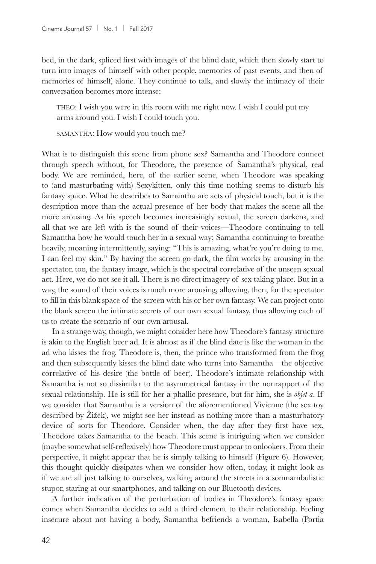bed, in the dark, spliced first with images of the blind date, which then slowly start to turn into images of himself with other people, memories of past events, and then of memories of himself, alone. They continue to talk, and slowly the intimacy of their conversation becomes more intense:

THEO: I wish you were in this room with me right now. I wish I could put my arms around you. I wish I could touch you.

samantha: How would you touch me?

What is to distinguish this scene from phone sex? Samantha and Theodore connect through speech without, for Theodore, the presence of Samantha's physical, real body. We are reminded, here, of the earlier scene, when Theodore was speaking to (and masturbating with) Sexykitten, only this time nothing seems to disturb his fantasy space. What he describes to Samantha are acts of physical touch, but it is the description more than the actual presence of her body that makes the scene all the more arousing. As his speech becomes increasingly sexual, the screen darkens, and all that we are left with is the sound of their voices—Theodore continuing to tell Samantha how he would touch her in a sexual way; Samantha continuing to breathe heavily, moaning intermittently, saying: "This is amazing, what're you're doing to me. I can feel my skin." By having the screen go dark, the film works by arousing in the  $Spectator, too, the funtsy image, which is the spectral correlative of the unseen sexual$ act. Here, we do not see it all. There is no direct imagery of sex taking place. But in a way, the sound of their voices is much more arousing, allowing, then, for the spectator to fill in this blank space of the screen with his or her own fantasy. We can project onto the blank screen the intimate secrets of our own sexual fantasy, thus allowing each of us to create the scenario of our own arousal.

In a strange way, though, we might consider here how Theodore's fantasy structure is akin to the English beer ad. It is almost as if the blind date is like the woman in the ad who kisses the frog. Theodore is, then, the prince who transformed from the frog and then subsequently kisses the blind date who turns into Samantha—the objective correlative of his desire (the bottle of beer). Theodore's intimate relationship with Samantha is not so dissimilar to the asymmetrical fantasy in the nonrapport of the sexual relationship. He is still for her a phallic presence, but for him, she is *objet a*. If we consider that Samantha is a version of the aforementioned Vivienne (the sex toy described by  $\ddot{Z}$ ižek), we might see her instead as nothing more than a masturbatory device of sorts for Theodore. Consider when, the day after they first have sex, Theodore takes Samantha to the beach. This scene is intriguing when we consider (maybe somewhat self-reflexively) how Theodore must appear to onlookers. From their perspective, it might appear that he is simply talking to himself (Figure 6). However, this thought quickly dissipates when we consider how often, today, it might look as if we are all just talking to ourselves, walking around the streets in a somnambulistic stupor, staring at our smartphones, and talking on our Bluetooth devices.

A further indication of the perturbation of bodies in Theodore's fantasy space comes when Samantha decides to add a third element to their relationship. Feeling insecure about not having a body, Samantha befriends a woman, Isabella (Portia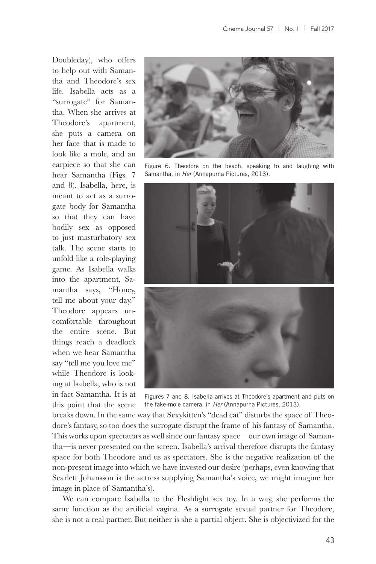Doubleday), who offers to help out with Samantha and Theodore's sex life. Isabella acts as a "surrogate" for Samantha. When she arrives at Theodore's apartment, she puts a camera on her face that is made to look like a mole, and an earpiece so that she can hear Samantha (Figs. 7 and 8). Isabella, here, is meant to act as a surrogate body for Samantha so that they can have bodily sex as opposed to just masturbatory sex talk. The scene starts to unfold like a role-playing game. As Isabella walks into the apartment, Samantha says, "Honey, tell me about your day." Theodore appears uncomfortable throughout the entire scene. But things reach a deadlock when we hear Samantha say "tell me you love me" while Theodore is looking at Isabella, who is not in fact Samantha. It is at this point that the scene



Figure 6. Theodore on the beach, speaking to and laughing with Samantha, in *Her* (Annapurna Pictures, 2013).



Figures 7 and 8. Isabella arrives at Theodore's apartment and puts on the fake-mole camera, in *Her* (Annapurna Pictures, 2013).

breaks down. In the same way that Sexykitten's "dead cat" disturbs the space of Theodore's fantasy, so too does the surrogate disrupt the frame of his fantasy of Samantha. This works upon spectators as well since our fantasy space—our own image of Samantha—is never presented on the screen. Isabella's arrival therefore disrupts the fantasy space for both Theodore and us as spectators. She is the negative realization of the non-present image into which we have invested our desire (perhaps, even knowing that Scarlett Johansson is the actress supplying Samantha's voice, we might imagine her image in place of Samantha's).

We can compare Isabella to the Fleshlight sex toy. In a way, she performs the same function as the artificial vagina. As a surrogate sexual partner for Theodore, she is not a real partner. But neither is she a partial object. She is objectivized for the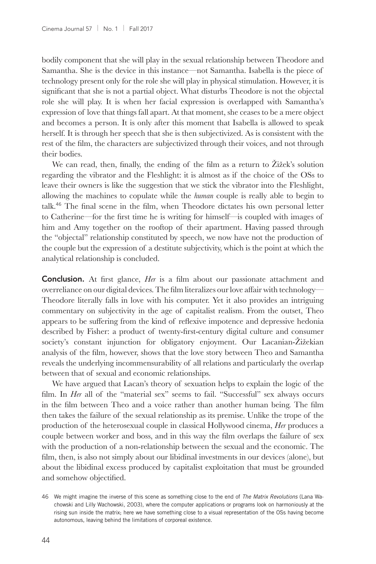bodily component that she will play in the sexual relationship between Theodore and Samantha. She is the device in this instance—not Samantha. Isabella is the piece of technology present only for the role she will play in physical stimulation. However, it is significant that she is not a partial object. What disturbs Theodore is not the objectal role she will play. It is when her facial expression is overlapped with Samantha's expression of love that things fall apart. At that moment, she ceases to be a mere object and becomes a person. It is only after this moment that Isabella is allowed to speak herself. It is through her speech that she is then subjectivized. As is consistent with the rest of the film, the characters are subjectivized through their voices, and not through their bodies.

We can read, then, finally, the ending of the film as a return to  $\mathring{Z}$ ižek's solution regarding the vibrator and the Fleshlight: it is almost as if the choice of the OSs to leave their owners is like the suggestion that we stick the vibrator into the Fleshlight, allowing the machines to copulate while the *human* couple is really able to begin to talk.<sup>46</sup> The final scene in the film, when Theodore dictates his own personal letter to Catherine—for the first time he is writing for himself—is coupled with images of him and Amy together on the rooftop of their apartment. Having passed through the "objectal" relationship constituted by speech, we now have not the production of the couple but the expression of a destitute subjectivity, which is the point at which the analytical relationship is concluded.

**Conclusion.** At first glance, *Her* is a film about our passionate attachment and overreliance on our digital devices. The film literalizes our love affair with technology— Theodore literally falls in love with his computer. Yet it also provides an intriguing commentary on subjectivity in the age of capitalist realism. From the outset, Theo appears to be suffering from the kind of reflexive impotence and depressive hedonia described by Fisher: a product of twenty-first-century digital culture and consumer society's constant injunction for obligatory enjoyment. Our Lacanian-Zižekian analysis of the film, however, shows that the love story between Theo and Samantha reveals the underlying incommensurability of all relations and particularly the overlap between that of sexual and economic relationships.

We have argued that Lacan's theory of sexuation helps to explain the logic of the film. In *Her* all of the "material sex" seems to fail. "Successful" sex always occurs in the film between Theo and a voice rather than another human being. The film then takes the failure of the sexual relationship as its premise. Unlike the trope of the production of the heterosexual couple in classical Hollywood cinema, *Her* produces a couple between worker and boss, and in this way the film overlaps the failure of sex with the production of a non-relationship between the sexual and the economic. The film, then, is also not simply about our libidinal investments in our devices (alone), but about the libidinal excess produced by capitalist exploitation that must be grounded and somehow objectified.

<sup>46</sup> We might imagine the inverse of this scene as something close to the end of *The Matrix Revolutions* (Lana Wachowski and Lilly Wachowski, 2003), where the computer applications or programs look on harmoniously at the rising sun inside the matrix; here we have something close to a visual representation of the OSs having become autonomous, leaving behind the limitations of corporeal existence.